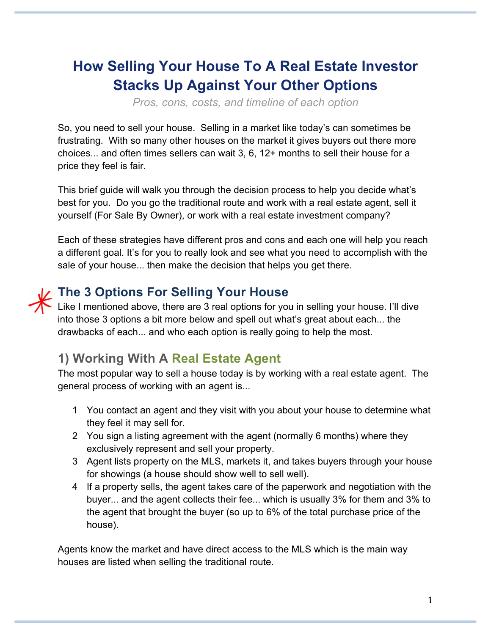## **How Selling Your House To A Real Estate Investor Stacks Up Against Your Other Options**

*Pros, cons, costs, and timeline of each option*

So, you need to sell your house. Selling in a market like today's can sometimes be frustrating. With so many other houses on the market it gives buyers out there more choices... and often times sellers can wait 3, 6, 12+ months to sell their house for a price they feel is fair.

This brief guide will walk you through the decision process to help you decide what's best for you. Do you go the traditional route and work with a real estate agent, sell it yourself (For Sale By Owner), or work with a real estate investment company?

Each of these strategies have different pros and cons and each one will help you reach a different goal. It's for you to really look and see what you need to accomplish with the sale of your house... then make the decision that helps you get there.

### **The 3 Options For Selling Your House**

Like I mentioned above, there are 3 real options for you in selling your house. I'll dive into those 3 options a bit more below and spell out what's great about each... the drawbacks of each... and who each option is really going to help the most.

### **1) Working With A Real Estate Agent**

The most popular way to sell a house today is by working with a real estate agent. The general process of working with an agent is...

- 1 You contact an agent and they visit with you about your house to determine what they feel it may sell for.
- 2 You sign a listing agreement with the agent (normally 6 months) where they exclusively represent and sell your property.
- 3 Agent lists property on the MLS, markets it, and takes buyers through your house for showings (a house should show well to sell well).
- 4 If a property sells, the agent takes care of the paperwork and negotiation with the buyer... and the agent collects their fee... which is usually 3% for them and 3% to the agent that brought the buyer (so up to 6% of the total purchase price of the house).

Agents know the market and have direct access to the MLS which is the main way houses are listed when selling the traditional route.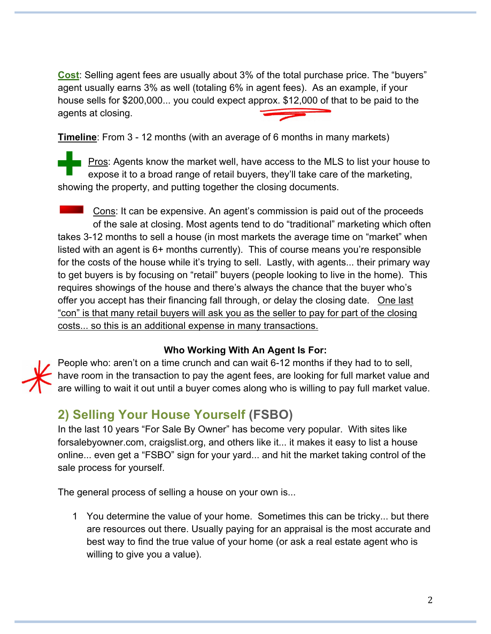**Cost**: Selling agent fees are usually about 3% of the total purchase price. The "buyers" agent usually earns 3% as well (totaling 6% in agent fees). As an example, if your house sells for \$200,000... you could expect approx. \$12,000 of that to be paid to the agents at closing.

**Timeline**: From 3 - 12 months (with an average of 6 months in many markets)

Pros: Agents know the market well, have access to the MLS to list your house to expose it to a broad range of retail buyers, they'll take care of the marketing, showing the property, and putting together the closing documents.

 $\blacksquare$  Cons: It can be expensive. An agent's commission is paid out of the proceeds of the sale at closing. Most agents tend to do "traditional" marketing which often takes 3-12 months to sell a house (in most markets the average time on "market" when listed with an agent is 6+ months currently). This of course means you're responsible for the costs of the house while it's trying to sell. Lastly, with agents... their primary way to get buyers is by focusing on "retail" buyers (people looking to live in the home). This requires showings of the house and there's always the chance that the buyer who's offer you accept has their financing fall through, or delay the closing date. One last "con" is that many retail buyers will ask you as the seller to pay for part of the closing costs... so this is an additional expense in many transactions.

#### **Who Working With An Agent Is For:**

People who: aren't on a time crunch and can wait 6-12 months if they had to to sell, have room in the transaction to pay the agent fees, are looking for full market value and are willing to wait it out until a buyer comes along who is willing to pay full market value.

### **2) Selling Your House Yourself (FSBO)**

In the last 10 years "For Sale By Owner" has become very popular. With sites like forsalebyowner.com, craigslist.org, and others like it... it makes it easy to list a house online... even get a "FSBO" sign for your yard... and hit the market taking control of the sale process for yourself.

The general process of selling a house on your own is...

1 You determine the value of your home. Sometimes this can be tricky... but there are resources out there. Usually paying for an appraisal is the most accurate and best way to find the true value of your home (or ask a real estate agent who is willing to give you a value).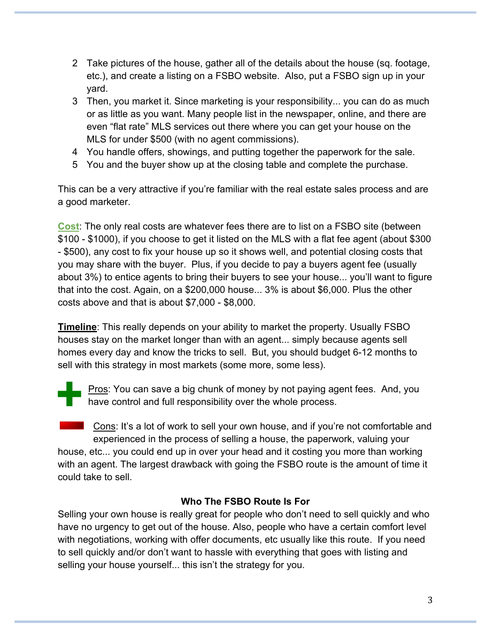- 2 Take pictures of the house, gather all of the details about the house (sq. footage, etc.), and create a listing on a FSBO website. Also, put a FSBO sign up in your yard.
- 3 Then, you market it. Since marketing is your responsibility... you can do as much or as little as you want. Many people list in the newspaper, online, and there are even "flat rate" MLS services out there where you can get your house on the MLS for under \$500 (with no agent commissions).
- 4 You handle offers, showings, and putting together the paperwork for the sale.
- 5 You and the buyer show up at the closing table and complete the purchase.

This can be a very attractive if you're familiar with the real estate sales process and are a good marketer.

**Cost**: The only real costs are whatever fees there are to list on a FSBO site (between \$100 - \$1000), if you choose to get it listed on the MLS with a flat fee agent (about \$300 - \$500), any cost to fix your house up so it shows well, and potential closing costs that you may share with the buyer. Plus, if you decide to pay a buyers agent fee (usually about 3%) to entice agents to bring their buyers to see your house... you'll want to figure that into the cost. Again, on a \$200,000 house... 3% is about \$6,000. Plus the other costs above and that is about \$7,000 - \$8,000.

**Timeline**: This really depends on your ability to market the property. Usually FSBO houses stay on the market longer than with an agent... simply because agents sell homes every day and know the tricks to sell. But, you should budget 6-12 months to sell with this strategy in most markets (some more, some less).



Pros: You can save a big chunk of money by not paying agent fees. And, you **have control and full responsibility over the whole process.** 

**Cons:** It's a lot of work to sell your own house, and if you're not comfortable and experienced in the process of selling a house, the paperwork, valuing your house, etc... you could end up in over your head and it costing you more than working with an agent. The largest drawback with going the FSBO route is the amount of time it could take to sell.

#### **Who The FSBO Route Is For**

Selling your own house is really great for people who don't need to sell quickly and who have no urgency to get out of the house. Also, people who have a certain comfort level with negotiations, working with offer documents, etc usually like this route. If you need to sell quickly and/or don't want to hassle with everything that goes with listing and selling your house yourself... this isn't the strategy for you.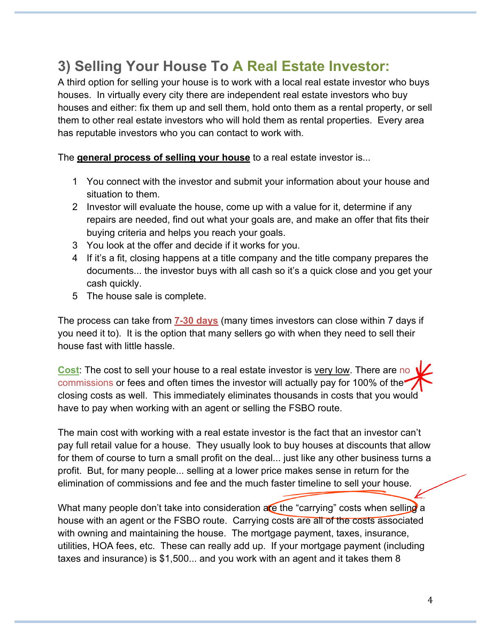## **3) Selling Your House To A Real Estate Investor:**

A third option for selling your house is to work with a local real estate investor who buys houses. In virtually every city there are independent real estate investors who buy houses and either: fix them up and sell them, hold onto them as a rental property, or sell them to other real estate investors who will hold them as rental properties. Every area has reputable investors who you can contact to work with.

The **general process of selling your house** to a real estate investor is...

- 1 You connect with the investor and submit your information about your house and situation to them.
- 2 Investor will evaluate the house, come up with a value for it, determine if any repairs are needed, find out what your goals are, and make an offer that fits their buying criteria and helps you reach your goals.
- 3 You look at the offer and decide if it works for you.
- 4 If it's a fit, closing happens at a title company and the title company prepares the documents... the investor buys with all cash so it's a quick close and you get your cash quickly.
- 5 The house sale is complete.

The process can take from **7-30 days** (many times investors can close within 7 days if you need it to). It is the option that many sellers go with when they need to sell their house fast with little hassle.

**Cost**: The cost to sell your house to a real estate investor is very low. There are no commissions or fees and often times the investor will actually pay for 100% of the closing costs as well. This immediately eliminates thousands in costs that you would have to pay when working with an agent or selling the FSBO route.

The main cost with working with a real estate investor is the fact that an investor can't pay full retail value for a house. They usually look to buy houses at discounts that allow for them of course to turn a small profit on the deal... just like any other business turns a profit. But, for many people... selling at a lower price makes sense in return for the elimination of commissions and fee and the much faster timeline to sell your house.

What many people don't take into consideration are the "carrying" costs when selling a house with an agent or the FSBO route. Carrying costs are all of the costs associated with owning and maintaining the house. The mortgage payment, taxes, insurance, utilities, HOA fees, etc. These can really add up. If your mortgage payment (including taxes and insurance) is \$1,500... and you work with an agent and it takes them 8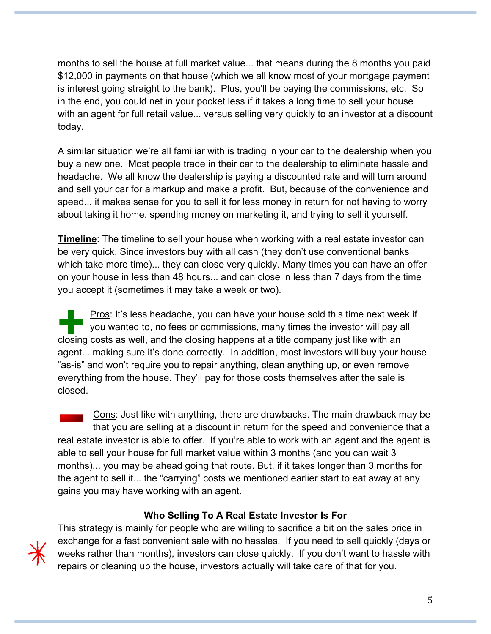months to sell the house at full market value... that means during the 8 months you paid \$12,000 in payments on that house (which we all know most of your mortgage payment is interest going straight to the bank). Plus, you'll be paying the commissions, etc. So in the end, you could net in your pocket less if it takes a long time to sell your house with an agent for full retail value... versus selling very quickly to an investor at a discount today.

A similar situation we're all familiar with is trading in your car to the dealership when you buy a new one. Most people trade in their car to the dealership to eliminate hassle and headache. We all know the dealership is paying a discounted rate and will turn around and sell your car for a markup and make a profit. But, because of the convenience and speed... it makes sense for you to sell it for less money in return for not having to worry about taking it home, spending money on marketing it, and trying to sell it yourself.

**Timeline**: The timeline to sell your house when working with a real estate investor can be very quick. Since investors buy with all cash (they don't use conventional banks which take more time)... they can close very quickly. Many times you can have an offer on your house in less than 48 hours... and can close in less than 7 days from the time you accept it (sometimes it may take a week or two).

Pros: It's less headache, you can have your house sold this time next week if you wanted to, no fees or commissions, many times the investor will pay all closing costs as well, and the closing happens at a title company just like with an agent... making sure it's done correctly. In addition, most investors will buy your house "as-is" and won't require you to repair anything, clean anything up, or even remove everything from the house. They'll pay for those costs themselves after the sale is closed.

Cons: Just like with anything, there are drawbacks. The main drawback may be that you are selling at a discount in return for the speed and convenience that a real estate investor is able to offer. If you're able to work with an agent and the agent is able to sell your house for full market value within 3 months (and you can wait 3 months)... you may be ahead going that route. But, if it takes longer than 3 months for the agent to sell it... the "carrying" costs we mentioned earlier start to eat away at any gains you may have working with an agent.

#### **Who Selling To A Real Estate Investor Is For**

This strategy is mainly for people who are willing to sacrifice a bit on the sales price in exchange for a fast convenient sale with no hassles. If you need to sell quickly (days or weeks rather than months), investors can close quickly. If you don't want to hassle with repairs or cleaning up the house, investors actually will take care of that for you.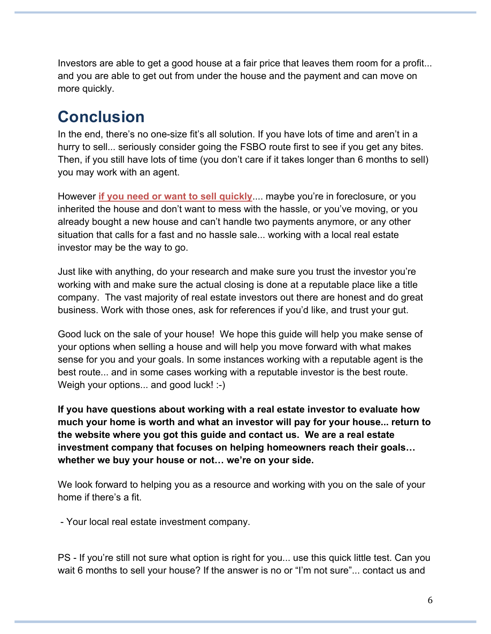Investors are able to get a good house at a fair price that leaves them room for a profit... and you are able to get out from under the house and the payment and can move on more quickly.

# **Conclusion**

In the end, there's no one-size fit's all solution. If you have lots of time and aren't in a hurry to sell... seriously consider going the FSBO route first to see if you get any bites. Then, if you still have lots of time (you don't care if it takes longer than 6 months to sell) you may work with an agent.

However **if you need or want to sell quickly**.... maybe you're in foreclosure, or you inherited the house and don't want to mess with the hassle, or you've moving, or you already bought a new house and can't handle two payments anymore, or any other situation that calls for a fast and no hassle sale... working with a local real estate investor may be the way to go.

Just like with anything, do your research and make sure you trust the investor you're working with and make sure the actual closing is done at a reputable place like a title company. The vast majority of real estate investors out there are honest and do great business. Work with those ones, ask for references if you'd like, and trust your gut.

Good luck on the sale of your house! We hope this guide will help you make sense of your options when selling a house and will help you move forward with what makes sense for you and your goals. In some instances working with a reputable agent is the best route... and in some cases working with a reputable investor is the best route. Weigh your options... and good luck! :-)

**If you have questions about working with a real estate investor to evaluate how much your home is worth and what an investor will pay for your house... return to the website where you got this guide and contact us. We are a real estate investment company that focuses on helping homeowners reach their goals… whether we buy your house or not… we're on your side.** 

We look forward to helping you as a resource and working with you on the sale of your home if there's a fit.

- Your local real estate investment company.

PS - If you're still not sure what option is right for you... use this quick little test. Can you wait 6 months to sell your house? If the answer is no or "I'm not sure"... contact us and